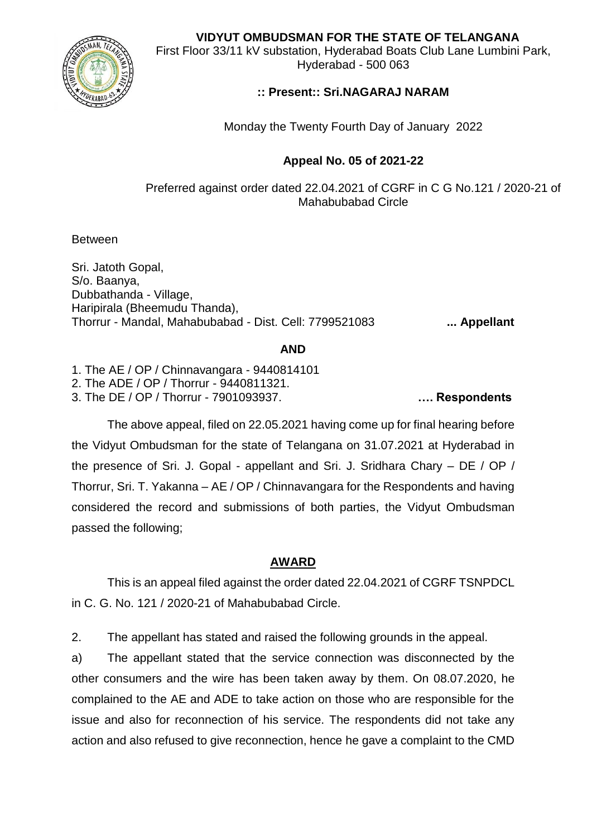**VIDYUT OMBUDSMAN FOR THE STATE OF TELANGANA**

First Floor 33/11 kV substation, Hyderabad Boats Club Lane Lumbini Park, Hyderabad - 500 063

# **:: Present:: Sri.NAGARAJ NARAM**

Monday the Twenty Fourth Day of January 2022

# **Appeal No. 05 of 2021-22**

Preferred against order dated 22.04.2021 of CGRF in C G No.121 / 2020-21 of Mahabubabad Circle

Between

Sri. Jatoth Gopal, S/o. Baanya, Dubbathanda - Village, Haripirala (Bheemudu Thanda), Thorrur - Mandal, Mahabubabad - Dist. Cell: 7799521083 **... Appellant**

### **AND**

1. The AE / OP / Chinnavangara - 9440814101 2. The ADE / OP / Thorrur - 9440811321. 3. The DE / OP / Thorrur - 7901093937. **…. Respondents**

The above appeal, filed on 22.05.2021 having come up for final hearing before the Vidyut Ombudsman for the state of Telangana on 31.07.2021 at Hyderabad in the presence of Sri. J. Gopal - appellant and Sri. J. Sridhara Chary – DE / OP / Thorrur, Sri. T. Yakanna – AE / OP / Chinnavangara for the Respondents and having considered the record and submissions of both parties, the Vidyut Ombudsman passed the following;

# **AWARD**

This is an appeal filed against the order dated 22.04.2021 of CGRF TSNPDCL in C. G. No. 121 / 2020-21 of Mahabubabad Circle.

2. The appellant has stated and raised the following grounds in the appeal.

a) The appellant stated that the service connection was disconnected by the other consumers and the wire has been taken away by them. On 08.07.2020, he complained to the AE and ADE to take action on those who are responsible for the issue and also for reconnection of his service. The respondents did not take any action and also refused to give reconnection, hence he gave a complaint to the CMD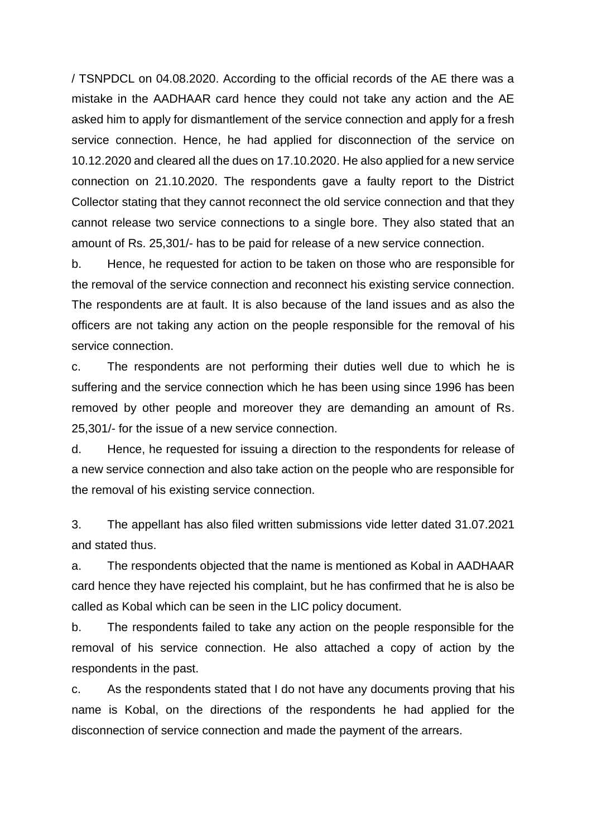/ TSNPDCL on 04.08.2020. According to the official records of the AE there was a mistake in the AADHAAR card hence they could not take any action and the AE asked him to apply for dismantlement of the service connection and apply for a fresh service connection. Hence, he had applied for disconnection of the service on 10.12.2020 and cleared all the dues on 17.10.2020. He also applied for a new service connection on 21.10.2020. The respondents gave a faulty report to the District Collector stating that they cannot reconnect the old service connection and that they cannot release two service connections to a single bore. They also stated that an amount of Rs. 25,301/- has to be paid for release of a new service connection.

b. Hence, he requested for action to be taken on those who are responsible for the removal of the service connection and reconnect his existing service connection. The respondents are at fault. It is also because of the land issues and as also the officers are not taking any action on the people responsible for the removal of his service connection.

c. The respondents are not performing their duties well due to which he is suffering and the service connection which he has been using since 1996 has been removed by other people and moreover they are demanding an amount of Rs. 25,301/- for the issue of a new service connection.

d. Hence, he requested for issuing a direction to the respondents for release of a new service connection and also take action on the people who are responsible for the removal of his existing service connection.

3. The appellant has also filed written submissions vide letter dated 31.07.2021 and stated thus.

a. The respondents objected that the name is mentioned as Kobal in AADHAAR card hence they have rejected his complaint, but he has confirmed that he is also be called as Kobal which can be seen in the LIC policy document.

b. The respondents failed to take any action on the people responsible for the removal of his service connection. He also attached a copy of action by the respondents in the past.

c. As the respondents stated that I do not have any documents proving that his name is Kobal, on the directions of the respondents he had applied for the disconnection of service connection and made the payment of the arrears.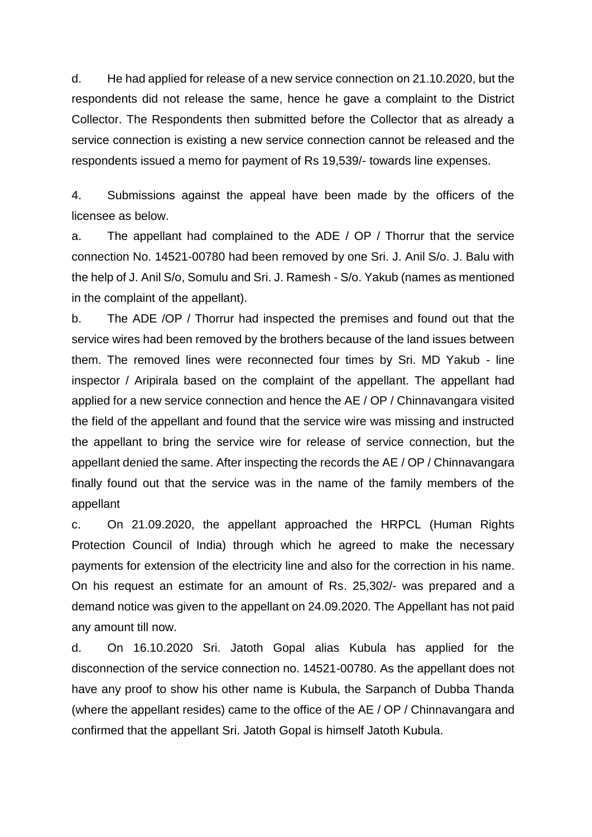d. He had applied for release of a new service connection on 21.10.2020, but the respondents did not release the same, hence he gave a complaint to the District Collector. The Respondents then submitted before the Collector that as already a service connection is existing a new service connection cannot be released and the respondents issued a memo for payment of Rs 19,539/- towards line expenses.

4. Submissions against the appeal have been made by the officers of the licensee as below.

a. The appellant had complained to the ADE / OP / Thorrur that the service connection No. 14521-00780 had been removed by one Sri. J. Anil S/o. J. Balu with the help of J. Anil S/o, Somulu and Sri. J. Ramesh - S/o. Yakub (names as mentioned in the complaint of the appellant).

b. The ADE /OP / Thorrur had inspected the premises and found out that the service wires had been removed by the brothers because of the land issues between them. The removed lines were reconnected four times by Sri. MD Yakub - line inspector / Aripirala based on the complaint of the appellant. The appellant had applied for a new service connection and hence the AE / OP / Chinnavangara visited the field of the appellant and found that the service wire was missing and instructed the appellant to bring the service wire for release of service connection, but the appellant denied the same. After inspecting the records the AE / OP / Chinnavangara finally found out that the service was in the name of the family members of the appellant

c. On 21.09.2020, the appellant approached the HRPCL (Human Rights Protection Council of India) through which he agreed to make the necessary payments for extension of the electricity line and also for the correction in his name. On his request an estimate for an amount of Rs. 25,302/- was prepared and a demand notice was given to the appellant on 24.09.2020. The Appellant has not paid any amount till now.

d. On 16.10.2020 Sri. Jatoth Gopal alias Kubula has applied for the disconnection of the service connection no. 14521-00780. As the appellant does not have any proof to show his other name is Kubula, the Sarpanch of Dubba Thanda (where the appellant resides) came to the office of the AE / OP / Chinnavangara and confirmed that the appellant Sri. Jatoth Gopal is himself Jatoth Kubula.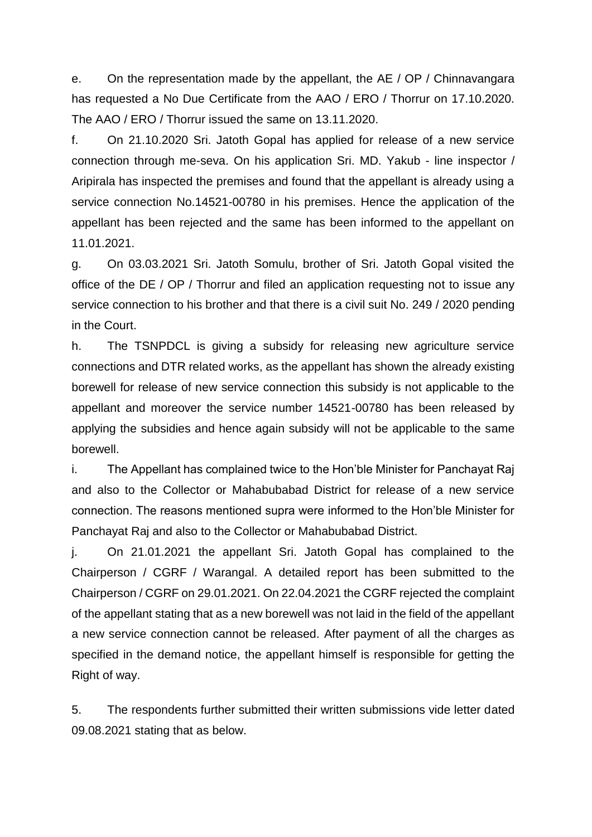e. On the representation made by the appellant, the AE / OP / Chinnavangara has requested a No Due Certificate from the AAO / ERO / Thorrur on 17.10.2020. The AAO / ERO / Thorrur issued the same on 13.11.2020.

f. On 21.10.2020 Sri. Jatoth Gopal has applied for release of a new service connection through me-seva. On his application Sri. MD. Yakub - line inspector / Aripirala has inspected the premises and found that the appellant is already using a service connection No.14521-00780 in his premises. Hence the application of the appellant has been rejected and the same has been informed to the appellant on 11.01.2021.

g. On 03.03.2021 Sri. Jatoth Somulu, brother of Sri. Jatoth Gopal visited the office of the DE / OP / Thorrur and filed an application requesting not to issue any service connection to his brother and that there is a civil suit No. 249 / 2020 pending in the Court.

h. The TSNPDCL is giving a subsidy for releasing new agriculture service connections and DTR related works, as the appellant has shown the already existing borewell for release of new service connection this subsidy is not applicable to the appellant and moreover the service number 14521-00780 has been released by applying the subsidies and hence again subsidy will not be applicable to the same borewell.

i. The Appellant has complained twice to the Hon'ble Minister for Panchayat Raj and also to the Collector or Mahabubabad District for release of a new service connection. The reasons mentioned supra were informed to the Hon'ble Minister for Panchayat Raj and also to the Collector or Mahabubabad District.

j. On 21.01.2021 the appellant Sri. Jatoth Gopal has complained to the Chairperson / CGRF / Warangal. A detailed report has been submitted to the Chairperson / CGRF on 29.01.2021. On 22.04.2021 the CGRF rejected the complaint of the appellant stating that as a new borewell was not laid in the field of the appellant a new service connection cannot be released. After payment of all the charges as specified in the demand notice, the appellant himself is responsible for getting the Right of way.

5. The respondents further submitted their written submissions vide letter dated 09.08.2021 stating that as below.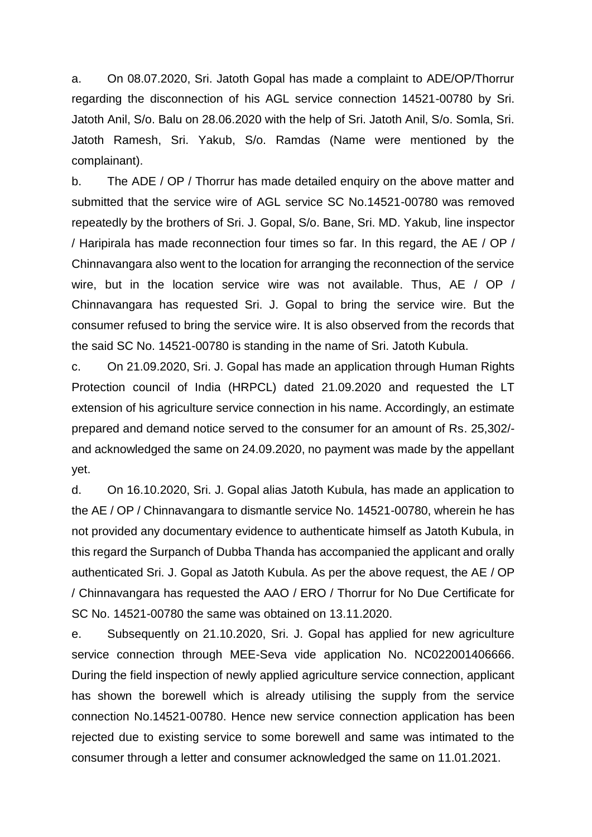a. On 08.07.2020, Sri. Jatoth Gopal has made a complaint to ADE/OP/Thorrur regarding the disconnection of his AGL service connection 14521-00780 by Sri. Jatoth Anil, S/o. Balu on 28.06.2020 with the help of Sri. Jatoth Anil, S/o. Somla, Sri. Jatoth Ramesh, Sri. Yakub, S/o. Ramdas (Name were mentioned by the complainant).

b. The ADE / OP / Thorrur has made detailed enquiry on the above matter and submitted that the service wire of AGL service SC No.14521-00780 was removed repeatedly by the brothers of Sri. J. Gopal, S/o. Bane, Sri. MD. Yakub, line inspector / Haripirala has made reconnection four times so far. In this regard, the AE / OP / Chinnavangara also went to the location for arranging the reconnection of the service wire, but in the location service wire was not available. Thus, AE / OP / Chinnavangara has requested Sri. J. Gopal to bring the service wire. But the consumer refused to bring the service wire. It is also observed from the records that the said SC No. 14521-00780 is standing in the name of Sri. Jatoth Kubula.

c. On 21.09.2020, Sri. J. Gopal has made an application through Human Rights Protection council of India (HRPCL) dated 21.09.2020 and requested the LT extension of his agriculture service connection in his name. Accordingly, an estimate prepared and demand notice served to the consumer for an amount of Rs. 25,302/ and acknowledged the same on 24.09.2020, no payment was made by the appellant yet.

d. On 16.10.2020, Sri. J. Gopal alias Jatoth Kubula, has made an application to the AE / OP / Chinnavangara to dismantle service No. 14521-00780, wherein he has not provided any documentary evidence to authenticate himself as Jatoth Kubula, in this regard the Surpanch of Dubba Thanda has accompanied the applicant and orally authenticated Sri. J. Gopal as Jatoth Kubula. As per the above request, the AE / OP / Chinnavangara has requested the AAO / ERO / Thorrur for No Due Certificate for SC No. 14521-00780 the same was obtained on 13.11.2020.

e. Subsequently on 21.10.2020, Sri. J. Gopal has applied for new agriculture service connection through MEE-Seva vide application No. NC022001406666. During the field inspection of newly applied agriculture service connection, applicant has shown the borewell which is already utilising the supply from the service connection No.14521-00780. Hence new service connection application has been rejected due to existing service to some borewell and same was intimated to the consumer through a letter and consumer acknowledged the same on 11.01.2021.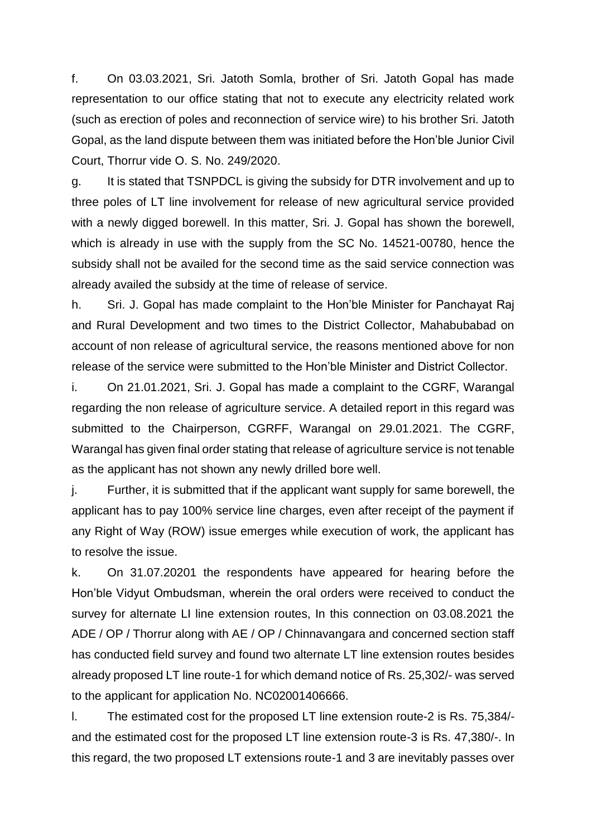f. On 03.03.2021, Sri. Jatoth Somla, brother of Sri. Jatoth Gopal has made representation to our office stating that not to execute any electricity related work (such as erection of poles and reconnection of service wire) to his brother Sri. Jatoth Gopal, as the land dispute between them was initiated before the Hon'ble Junior Civil Court, Thorrur vide O. S. No. 249/2020.

g. It is stated that TSNPDCL is giving the subsidy for DTR involvement and up to three poles of LT line involvement for release of new agricultural service provided with a newly digged borewell. In this matter, Sri. J. Gopal has shown the borewell, which is already in use with the supply from the SC No. 14521-00780, hence the subsidy shall not be availed for the second time as the said service connection was already availed the subsidy at the time of release of service.

h. Sri. J. Gopal has made complaint to the Hon'ble Minister for Panchayat Raj and Rural Development and two times to the District Collector, Mahabubabad on account of non release of agricultural service, the reasons mentioned above for non release of the service were submitted to the Hon'ble Minister and District Collector.

i. On 21.01.2021, Sri. J. Gopal has made a complaint to the CGRF, Warangal regarding the non release of agriculture service. A detailed report in this regard was submitted to the Chairperson, CGRFF, Warangal on 29.01.2021. The CGRF, Warangal has given final order stating that release of agriculture service is not tenable as the applicant has not shown any newly drilled bore well.

j. Further, it is submitted that if the applicant want supply for same borewell, the applicant has to pay 100% service line charges, even after receipt of the payment if any Right of Way (ROW) issue emerges while execution of work, the applicant has to resolve the issue.

k. On 31.07.20201 the respondents have appeared for hearing before the Hon'ble Vidyut Ombudsman, wherein the oral orders were received to conduct the survey for alternate LI line extension routes, In this connection on 03.08.2021 the ADE / OP / Thorrur along with AE / OP / Chinnavangara and concerned section staff has conducted field survey and found two alternate LT line extension routes besides already proposed LT line route-1 for which demand notice of Rs. 25,302/- was served to the applicant for application No. NC02001406666.

l. The estimated cost for the proposed LT line extension route-2 is Rs. 75,384/ and the estimated cost for the proposed LT line extension route-3 is Rs. 47,380/-. In this regard, the two proposed LT extensions route-1 and 3 are inevitably passes over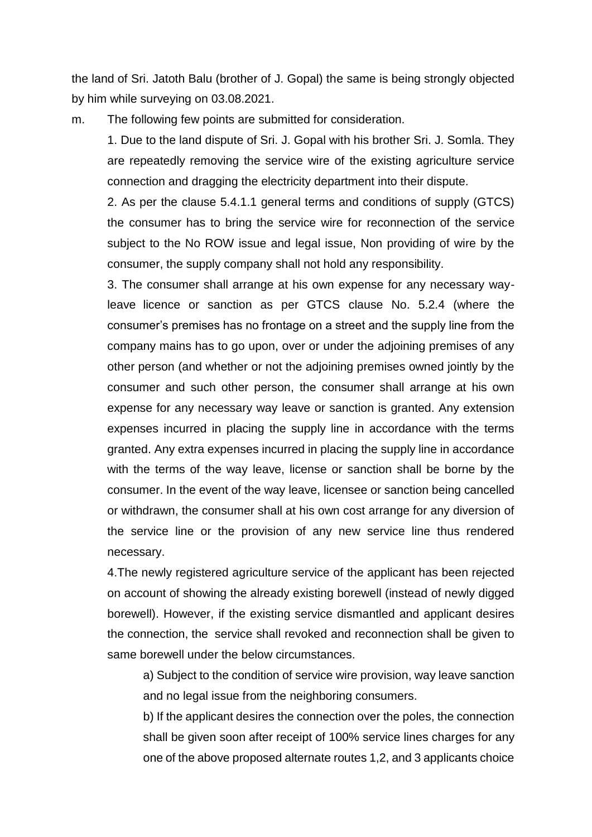the land of Sri. Jatoth Balu (brother of J. Gopal) the same is being strongly objected by him while surveying on 03.08.2021.

m. The following few points are submitted for consideration.

1. Due to the land dispute of Sri. J. Gopal with his brother Sri. J. Somla. They are repeatedly removing the service wire of the existing agriculture service connection and dragging the electricity department into their dispute.

2. As per the clause 5.4.1.1 general terms and conditions of supply (GTCS) the consumer has to bring the service wire for reconnection of the service subject to the No ROW issue and legal issue, Non providing of wire by the consumer, the supply company shall not hold any responsibility.

3. The consumer shall arrange at his own expense for any necessary wayleave licence or sanction as per GTCS clause No. 5.2.4 (where the consumer's premises has no frontage on a street and the supply line from the company mains has to go upon, over or under the adjoining premises of any other person (and whether or not the adjoining premises owned jointly by the consumer and such other person, the consumer shall arrange at his own expense for any necessary way leave or sanction is granted. Any extension expenses incurred in placing the supply line in accordance with the terms granted. Any extra expenses incurred in placing the supply line in accordance with the terms of the way leave, license or sanction shall be borne by the consumer. In the event of the way leave, licensee or sanction being cancelled or withdrawn, the consumer shall at his own cost arrange for any diversion of the service line or the provision of any new service line thus rendered necessary.

4.The newly registered agriculture service of the applicant has been rejected on account of showing the already existing borewell (instead of newly digged borewell). However, if the existing service dismantled and applicant desires the connection, the service shall revoked and reconnection shall be given to same borewell under the below circumstances.

a) Subject to the condition of service wire provision, way leave sanction and no legal issue from the neighboring consumers.

b) If the applicant desires the connection over the poles, the connection shall be given soon after receipt of 100% service lines charges for any one of the above proposed alternate routes 1,2, and 3 applicants choice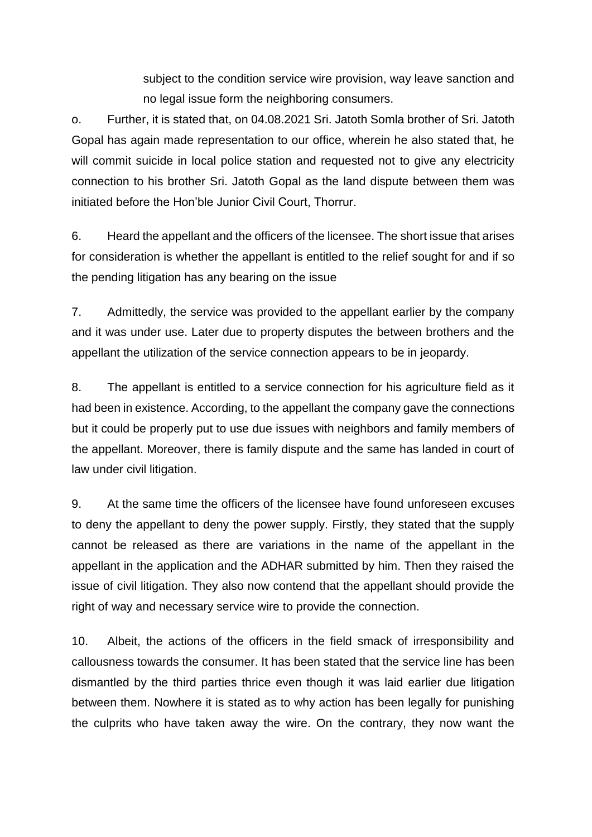subject to the condition service wire provision, way leave sanction and no legal issue form the neighboring consumers.

o. Further, it is stated that, on 04.08.2021 Sri. Jatoth Somla brother of Sri. Jatoth Gopal has again made representation to our office, wherein he also stated that, he will commit suicide in local police station and requested not to give any electricity connection to his brother Sri. Jatoth Gopal as the land dispute between them was initiated before the Hon'ble Junior Civil Court, Thorrur.

6. Heard the appellant and the officers of the licensee. The short issue that arises for consideration is whether the appellant is entitled to the relief sought for and if so the pending litigation has any bearing on the issue

7. Admittedly, the service was provided to the appellant earlier by the company and it was under use. Later due to property disputes the between brothers and the appellant the utilization of the service connection appears to be in jeopardy.

8. The appellant is entitled to a service connection for his agriculture field as it had been in existence. According, to the appellant the company gave the connections but it could be properly put to use due issues with neighbors and family members of the appellant. Moreover, there is family dispute and the same has landed in court of law under civil litigation.

9. At the same time the officers of the licensee have found unforeseen excuses to deny the appellant to deny the power supply. Firstly, they stated that the supply cannot be released as there are variations in the name of the appellant in the appellant in the application and the ADHAR submitted by him. Then they raised the issue of civil litigation. They also now contend that the appellant should provide the right of way and necessary service wire to provide the connection.

10. Albeit, the actions of the officers in the field smack of irresponsibility and callousness towards the consumer. It has been stated that the service line has been dismantled by the third parties thrice even though it was laid earlier due litigation between them. Nowhere it is stated as to why action has been legally for punishing the culprits who have taken away the wire. On the contrary, they now want the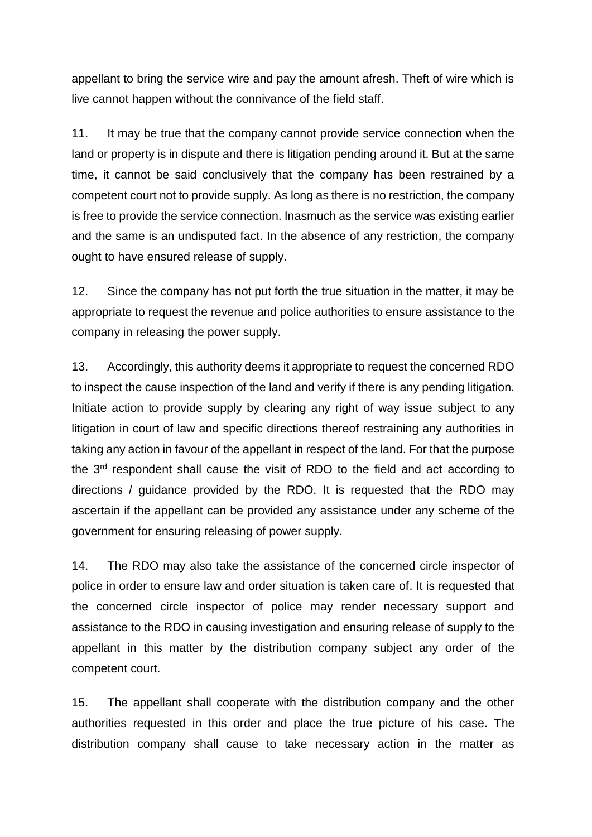appellant to bring the service wire and pay the amount afresh. Theft of wire which is live cannot happen without the connivance of the field staff.

11. It may be true that the company cannot provide service connection when the land or property is in dispute and there is litigation pending around it. But at the same time, it cannot be said conclusively that the company has been restrained by a competent court not to provide supply. As long as there is no restriction, the company is free to provide the service connection. Inasmuch as the service was existing earlier and the same is an undisputed fact. In the absence of any restriction, the company ought to have ensured release of supply.

12. Since the company has not put forth the true situation in the matter, it may be appropriate to request the revenue and police authorities to ensure assistance to the company in releasing the power supply.

13. Accordingly, this authority deems it appropriate to request the concerned RDO to inspect the cause inspection of the land and verify if there is any pending litigation. Initiate action to provide supply by clearing any right of way issue subject to any litigation in court of law and specific directions thereof restraining any authorities in taking any action in favour of the appellant in respect of the land. For that the purpose the 3<sup>rd</sup> respondent shall cause the visit of RDO to the field and act according to directions / guidance provided by the RDO. It is requested that the RDO may ascertain if the appellant can be provided any assistance under any scheme of the government for ensuring releasing of power supply.

14. The RDO may also take the assistance of the concerned circle inspector of police in order to ensure law and order situation is taken care of. It is requested that the concerned circle inspector of police may render necessary support and assistance to the RDO in causing investigation and ensuring release of supply to the appellant in this matter by the distribution company subject any order of the competent court.

15. The appellant shall cooperate with the distribution company and the other authorities requested in this order and place the true picture of his case. The distribution company shall cause to take necessary action in the matter as